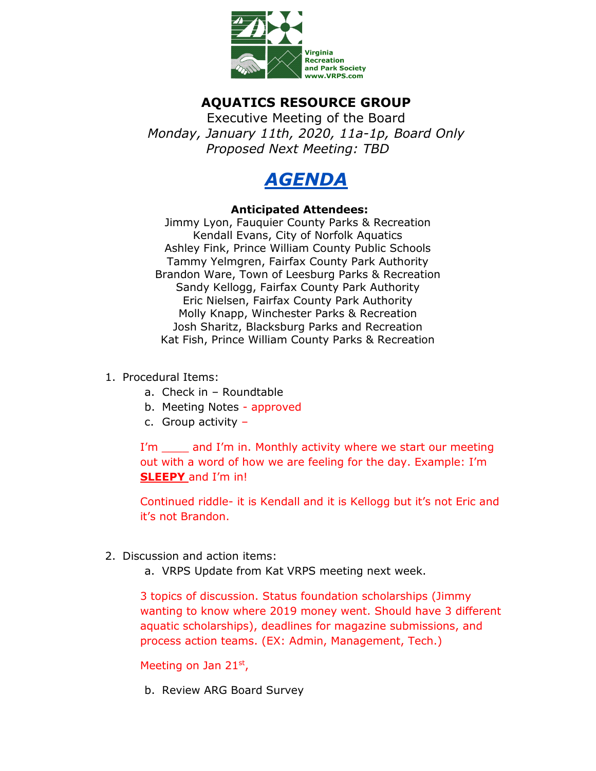

## **AQUATICS RESOURCE GROUP**

Executive Meeting of the Board *Monday, January 11th, 2020, 11a-1p, Board Only Proposed Next Meeting: TBD*



## **Anticipated Attendees:**

Jimmy Lyon, Fauquier County Parks & Recreation Kendall Evans, City of Norfolk Aquatics Ashley Fink, Prince William County Public Schools Tammy Yelmgren, Fairfax County Park Authority Brandon Ware, Town of Leesburg Parks & Recreation Sandy Kellogg, Fairfax County Park Authority Eric Nielsen, Fairfax County Park Authority Molly Knapp, Winchester Parks & Recreation Josh Sharitz, Blacksburg Parks and Recreation Kat Fish, Prince William County Parks & Recreation

## 1. Procedural Items:

- a. Check in Roundtable
- b. Meeting Notes approved
- c. Group activity –

I'm \_\_\_\_\_ and I'm in. Monthly activity where we start our meeting out with a word of how we are feeling for the day. Example: I'm **SLEEPY** and I'm in!

Continued riddle- it is Kendall and it is Kellogg but it's not Eric and it's not Brandon.

- 2. Discussion and action items:
	- a. VRPS Update from Kat VRPS meeting next week.

3 topics of discussion. Status foundation scholarships (Jimmy wanting to know where 2019 money went. Should have 3 different aquatic scholarships), deadlines for magazine submissions, and process action teams. (EX: Admin, Management, Tech.)

Meeting on Jan 21st,

b. Review ARG Board Survey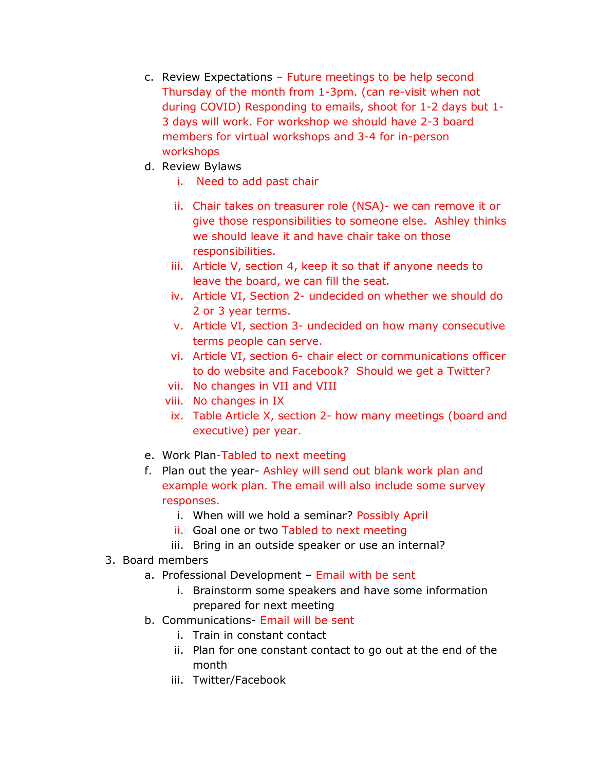- c. Review Expectations Future meetings to be help second Thursday of the month from 1-3pm. (can re-visit when not during COVID) Responding to emails, shoot for 1-2 days but 1- 3 days will work. For workshop we should have 2-3 board members for virtual workshops and 3-4 for in-person workshops
- d. Review Bylaws
	- i. Need to add past chair
	- ii. Chair takes on treasurer role (NSA)- we can remove it or give those responsibilities to someone else. Ashley thinks we should leave it and have chair take on those responsibilities.
	- iii. Article V, section 4, keep it so that if anyone needs to leave the board, we can fill the seat.
	- iv. Article VI, Section 2- undecided on whether we should do 2 or 3 year terms.
	- v. Article VI, section 3- undecided on how many consecutive terms people can serve.
	- vi. Article VI, section 6- chair elect or communications officer to do website and Facebook? Should we get a Twitter?
	- vii. No changes in VII and VIII
	- viii. No changes in IX
	- ix. Table Article X, section 2- how many meetings (board and executive) per year.
- e. Work Plan-Tabled to next meeting
- f. Plan out the year- Ashley will send out blank work plan and example work plan. The email will also include some survey responses.
	- i. When will we hold a seminar? Possibly April
	- ii. Goal one or two Tabled to next meeting
	- iii. Bring in an outside speaker or use an internal?
- 3. Board members
	- a. Professional Development Email with be sent
		- i. Brainstorm some speakers and have some information prepared for next meeting
	- b. Communications- Email will be sent
		- i. Train in constant contact
		- ii. Plan for one constant contact to go out at the end of the month
		- iii. Twitter/Facebook